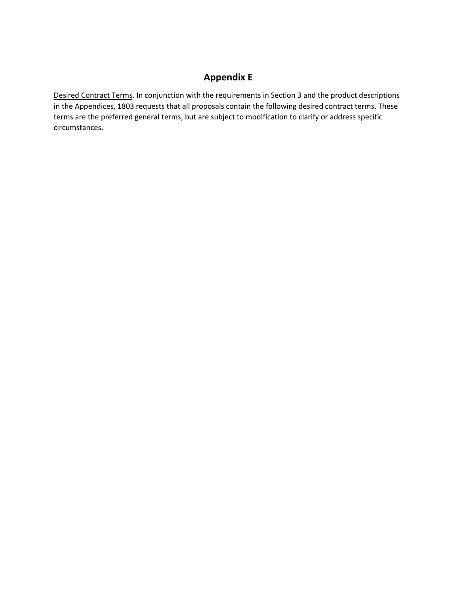## **Appendix E**

Desired Contract Terms. In conjunction with the requirements in Section 3 and the product descriptions in the Appendices, 1803 requests that all proposals contain the following desired contract terms. These terms are the preferred general terms, but are subject to modification to clarify or address specific circumstances.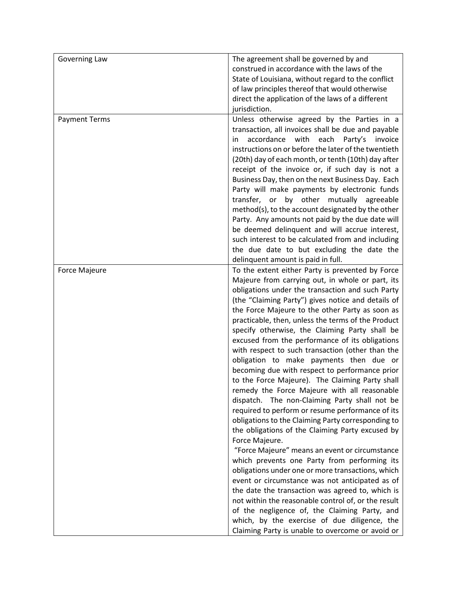| Governing Law        | The agreement shall be governed by and                 |
|----------------------|--------------------------------------------------------|
|                      | construed in accordance with the laws of the           |
|                      | State of Louisiana, without regard to the conflict     |
|                      | of law principles thereof that would otherwise         |
|                      | direct the application of the laws of a different      |
|                      | jurisdiction.                                          |
| <b>Payment Terms</b> | Unless otherwise agreed by the Parties in a            |
|                      | transaction, all invoices shall be due and payable     |
|                      | accordance<br>with<br>each<br>Party's<br>invoice<br>in |
|                      | instructions on or before the later of the twentieth   |
|                      | (20th) day of each month, or tenth (10th) day after    |
|                      | receipt of the invoice or, if such day is not a        |
|                      | Business Day, then on the next Business Day. Each      |
|                      | Party will make payments by electronic funds           |
|                      | transfer, or by other mutually agreeable               |
|                      | method(s), to the account designated by the other      |
|                      | Party. Any amounts not paid by the due date will       |
|                      | be deemed delinquent and will accrue interest,         |
|                      | such interest to be calculated from and including      |
|                      | the due date to but excluding the date the             |
|                      | delinquent amount is paid in full.                     |
| <b>Force Majeure</b> | To the extent either Party is prevented by Force       |
|                      | Majeure from carrying out, in whole or part, its       |
|                      | obligations under the transaction and such Party       |
|                      | (the "Claiming Party") gives notice and details of     |
|                      | the Force Majeure to the other Party as soon as        |
|                      | practicable, then, unless the terms of the Product     |
|                      | specify otherwise, the Claiming Party shall be         |
|                      | excused from the performance of its obligations        |
|                      | with respect to such transaction (other than the       |
|                      | obligation to make payments then due or                |
|                      | becoming due with respect to performance prior         |
|                      | to the Force Majeure). The Claiming Party shall        |
|                      | remedy the Force Majeure with all reasonable           |
|                      | dispatch. The non-Claiming Party shall not be          |
|                      | required to perform or resume performance of its       |
|                      | obligations to the Claiming Party corresponding to     |
|                      | the obligations of the Claiming Party excused by       |
|                      | Force Majeure.                                         |
|                      | "Force Majeure" means an event or circumstance         |
|                      | which prevents one Party from performing its           |
|                      | obligations under one or more transactions, which      |
|                      | event or circumstance was not anticipated as of        |
|                      | the date the transaction was agreed to, which is       |
|                      | not within the reasonable control of, or the result    |
|                      | of the negligence of, the Claiming Party, and          |
|                      | which, by the exercise of due diligence, the           |
|                      | Claiming Party is unable to overcome or avoid or       |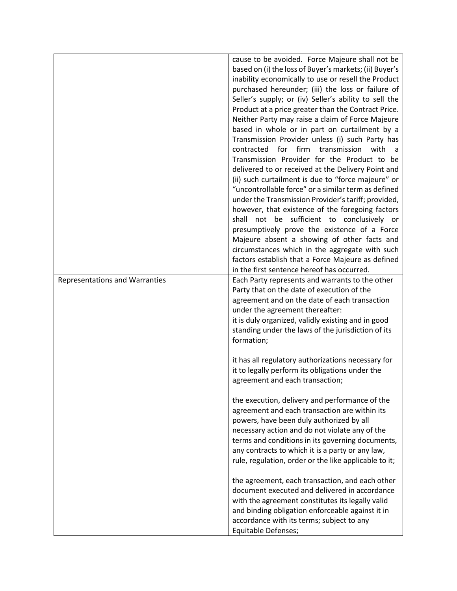|                                       | cause to be avoided. Force Majeure shall not be<br>based on (i) the loss of Buyer's markets; (ii) Buyer's<br>inability economically to use or resell the Product<br>purchased hereunder; (iii) the loss or failure of<br>Seller's supply; or (iv) Seller's ability to sell the<br>Product at a price greater than the Contract Price.<br>Neither Party may raise a claim of Force Majeure<br>based in whole or in part on curtailment by a<br>Transmission Provider unless (i) such Party has<br>contracted<br>for firm transmission<br>with<br>a a<br>Transmission Provider for the Product to be<br>delivered to or received at the Delivery Point and<br>(ii) such curtailment is due to "force majeure" or<br>"uncontrollable force" or a similar term as defined<br>under the Transmission Provider's tariff; provided, |
|---------------------------------------|------------------------------------------------------------------------------------------------------------------------------------------------------------------------------------------------------------------------------------------------------------------------------------------------------------------------------------------------------------------------------------------------------------------------------------------------------------------------------------------------------------------------------------------------------------------------------------------------------------------------------------------------------------------------------------------------------------------------------------------------------------------------------------------------------------------------------|
|                                       | however, that existence of the foregoing factors<br>not be sufficient to conclusively or<br>shall<br>presumptively prove the existence of a Force<br>Majeure absent a showing of other facts and<br>circumstances which in the aggregate with such<br>factors establish that a Force Majeure as defined<br>in the first sentence hereof has occurred.                                                                                                                                                                                                                                                                                                                                                                                                                                                                        |
| <b>Representations and Warranties</b> | Each Party represents and warrants to the other<br>Party that on the date of execution of the<br>agreement and on the date of each transaction<br>under the agreement thereafter:<br>it is duly organized, validly existing and in good<br>standing under the laws of the jurisdiction of its<br>formation;                                                                                                                                                                                                                                                                                                                                                                                                                                                                                                                  |
|                                       | it has all regulatory authorizations necessary for<br>it to legally perform its obligations under the<br>agreement and each transaction;                                                                                                                                                                                                                                                                                                                                                                                                                                                                                                                                                                                                                                                                                     |
|                                       | the execution, delivery and performance of the<br>agreement and each transaction are within its<br>powers, have been duly authorized by all<br>necessary action and do not violate any of the<br>terms and conditions in its governing documents,<br>any contracts to which it is a party or any law,<br>rule, regulation, order or the like applicable to it;                                                                                                                                                                                                                                                                                                                                                                                                                                                               |
|                                       | the agreement, each transaction, and each other<br>document executed and delivered in accordance<br>with the agreement constitutes its legally valid<br>and binding obligation enforceable against it in<br>accordance with its terms; subject to any<br>Equitable Defenses;                                                                                                                                                                                                                                                                                                                                                                                                                                                                                                                                                 |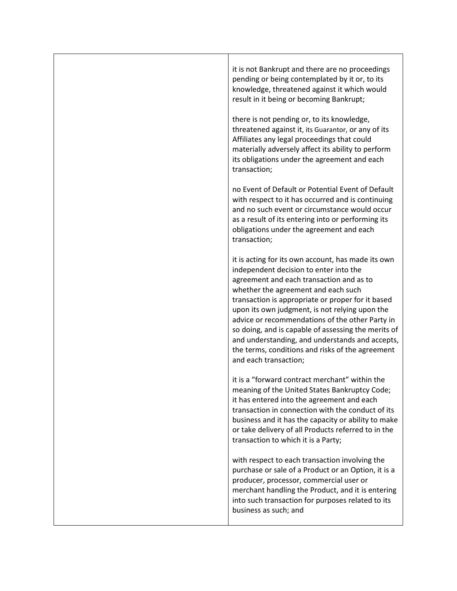| it is not Bankrupt and there are no proceedings<br>pending or being contemplated by it or, to its<br>knowledge, threatened against it which would<br>result in it being or becoming Bankrupt;                                                                                                                                                                                                                                                                                                                                    |
|----------------------------------------------------------------------------------------------------------------------------------------------------------------------------------------------------------------------------------------------------------------------------------------------------------------------------------------------------------------------------------------------------------------------------------------------------------------------------------------------------------------------------------|
| there is not pending or, to its knowledge,<br>threatened against it, its Guarantor, or any of its<br>Affiliates any legal proceedings that could<br>materially adversely affect its ability to perform<br>its obligations under the agreement and each<br>transaction;                                                                                                                                                                                                                                                           |
| no Event of Default or Potential Event of Default<br>with respect to it has occurred and is continuing<br>and no such event or circumstance would occur<br>as a result of its entering into or performing its<br>obligations under the agreement and each<br>transaction;                                                                                                                                                                                                                                                        |
| it is acting for its own account, has made its own<br>independent decision to enter into the<br>agreement and each transaction and as to<br>whether the agreement and each such<br>transaction is appropriate or proper for it based<br>upon its own judgment, is not relying upon the<br>advice or recommendations of the other Party in<br>so doing, and is capable of assessing the merits of<br>and understanding, and understands and accepts,<br>the terms, conditions and risks of the agreement<br>and each transaction; |
| it is a "forward contract merchant" within the<br>meaning of the United States Bankruptcy Code;<br>it has entered into the agreement and each<br>transaction in connection with the conduct of its<br>business and it has the capacity or ability to make<br>or take delivery of all Products referred to in the<br>transaction to which it is a Party;                                                                                                                                                                          |
| with respect to each transaction involving the<br>purchase or sale of a Product or an Option, it is a<br>producer, processor, commercial user or<br>merchant handling the Product, and it is entering<br>into such transaction for purposes related to its<br>business as such; and                                                                                                                                                                                                                                              |